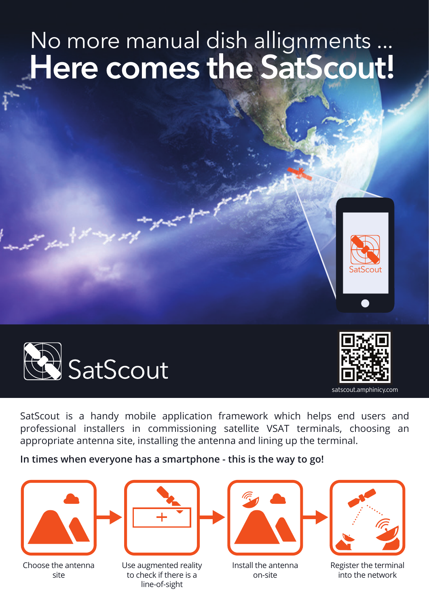# No more manual dish allignments ... Here comes the SatScout!







SatScout is a handy mobile application framework which helps end users and professional installers in commissioning satellite VSAT terminals, choosing an appropriate antenna site, installing the antenna and lining up the terminal.

**In times when everyone has a smartphone - this is the way to go!**



Choose the antenna site



Use augmented reality to check if there is a line-of-sight



Install the antenna on-site



Register the terminal into the network